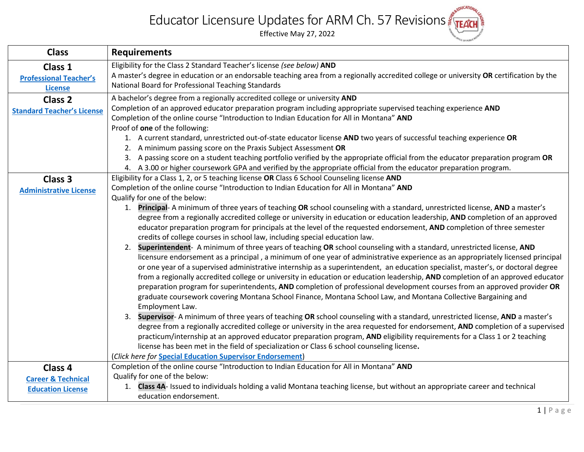## **BLEDUCATIONAL** Educator Licensure Updates for ARM Ch. 57 Revisions

Effective May 27, 2022

| <b>Class</b>                      | <b>Requirements</b>                                                                                                                                                                       |
|-----------------------------------|-------------------------------------------------------------------------------------------------------------------------------------------------------------------------------------------|
| Class 1                           | Eligibility for the Class 2 Standard Teacher's license (see below) AND                                                                                                                    |
| <b>Professional Teacher's</b>     | A master's degree in education or an endorsable teaching area from a regionally accredited college or university OR certification by the                                                  |
| <b>License</b>                    | National Board for Professional Teaching Standards                                                                                                                                        |
| Class <sub>2</sub>                | A bachelor's degree from a regionally accredited college or university AND                                                                                                                |
| <b>Standard Teacher's License</b> | Completion of an approved educator preparation program including appropriate supervised teaching experience AND                                                                           |
|                                   | Completion of the online course "Introduction to Indian Education for All in Montana" AND                                                                                                 |
|                                   | Proof of one of the following:                                                                                                                                                            |
|                                   | 1. A current standard, unrestricted out-of-state educator license AND two years of successful teaching experience OR                                                                      |
|                                   | 2. A minimum passing score on the Praxis Subject Assessment OR                                                                                                                            |
|                                   | 3. A passing score on a student teaching portfolio verified by the appropriate official from the educator preparation program OR                                                          |
|                                   | 4. A 3.00 or higher coursework GPA and verified by the appropriate official from the educator preparation program.                                                                        |
| Class 3                           | Eligibility for a Class 1, 2, or 5 teaching license OR Class 6 School Counseling license AND<br>Completion of the online course "Introduction to Indian Education for All in Montana" AND |
| <b>Administrative License</b>     | Qualify for one of the below:                                                                                                                                                             |
|                                   | 1. Principal-A minimum of three years of teaching OR school counseling with a standard, unrestricted license, AND a master's                                                              |
|                                   | degree from a regionally accredited college or university in education or education leadership, AND completion of an approved                                                             |
|                                   | educator preparation program for principals at the level of the requested endorsement, AND completion of three semester                                                                   |
|                                   | credits of college courses in school law, including special education law.                                                                                                                |
|                                   | Superintendent- A minimum of three years of teaching OR school counseling with a standard, unrestricted license, AND<br>2.                                                                |
|                                   | licensure endorsement as a principal, a minimum of one year of administrative experience as an appropriately licensed principal                                                           |
|                                   | or one year of a supervised administrative internship as a superintendent, an education specialist, master's, or doctoral degree                                                          |
|                                   | from a regionally accredited college or university in education or education leadership, AND completion of an approved educator                                                           |
|                                   | preparation program for superintendents, AND completion of professional development courses from an approved provider OR                                                                  |
|                                   | graduate coursework covering Montana School Finance, Montana School Law, and Montana Collective Bargaining and                                                                            |
|                                   | Employment Law.                                                                                                                                                                           |
|                                   | Supervisor- A minimum of three years of teaching OR school counseling with a standard, unrestricted license, AND a master's<br>3.                                                         |
|                                   | degree from a regionally accredited college or university in the area requested for endorsement, AND completion of a supervised                                                           |
|                                   | practicum/internship at an approved educator preparation program, AND eligibility requirements for a Class 1 or 2 teaching                                                                |
|                                   | license has been met in the field of specialization or Class 6 school counseling license.                                                                                                 |
|                                   | (Click here for <b>Special Education Supervisor Endorsement)</b><br>Completion of the online course "Introduction to Indian Education for All in Montana" AND                             |
| Class 4                           | Qualify for one of the below:                                                                                                                                                             |
| <b>Career &amp; Technical</b>     | 1. Class 4A- Issued to individuals holding a valid Montana teaching license, but without an appropriate career and technical                                                              |
| <b>Education License</b>          | education endorsement.                                                                                                                                                                    |
|                                   |                                                                                                                                                                                           |